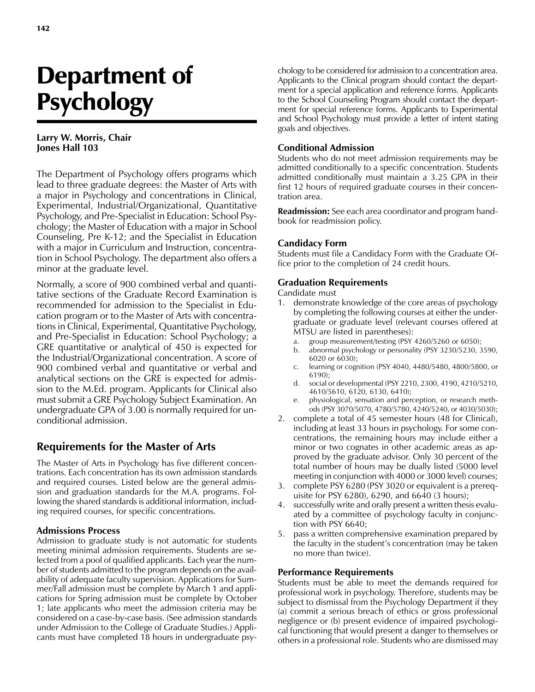# Department of **Psychology**

### **Larry W. Morris, Chair Jones Hall 103**

The Department of Psychology offers programs which lead to three graduate degrees: the Master of Arts with a major in Psychology and concentrations in Clinical, Experimental, Industrial/Organizational, Quantitative Psychology, and Pre-Specialist in Education: School Psychology; the Master of Education with a major in School Counseling, Pre K-12; and the Specialist in Education with a major in Curriculum and Instruction, concentration in School Psychology. The department also offers a minor at the graduate level.

Normally, a score of 900 combined verbal and quantitative sections of the Graduate Record Examination is recommended for admission to the Specialist in Education program or to the Master of Arts with concentrations in Clinical, Experimental, Quantitative Psychology, and Pre-Specialist in Education: School Psychology; a GRE quantitative or analytical of 450 is expected for the Industrial/Organizational concentration. A score of 900 combined verbal and quantitative or verbal and analytical sections on the GRE is expected for admission to the M.Ed. program. Applicants for Clinical also must submit a GRE Psychology Subject Examination. An undergraduate GPA of 3.00 is normally required for unconditional admission.

## **Requirements for the Master of Arts**

The Master of Arts in Psychology has five different concentrations. Each concentration has its own admission standards and required courses. Listed below are the general admission and graduation standards for the M.A. programs. Following the shared standards is additional information, including required courses, for specific concentrations.

### **Admissions Process**

Admission to graduate study is not automatic for students meeting minimal admission requirements. Students are selected from a pool of qualified applicants. Each year the number of students admitted to the program depends on the availability of adequate faculty supervision. Applications for Summer/Fall admission must be complete by March 1 and applications for Spring admission must be complete by October 1; late applicants who meet the admission criteria may be considered on a case-by-case basis. (See admission standards under Admission to the College of Graduate Studies.) Applicants must have completed 18 hours in undergraduate psy-

chology to be considered for admission to a concentration area. Applicants to the Clinical program should contact the department for a special application and reference forms. Applicants to the School Counseling Program should contact the department for special reference forms. Applicants to Experimental and School Psychology must provide a letter of intent stating goals and objectives.

### **Conditional Admission**

Students who do not meet admission requirements may be admitted conditionally to a specific concentration. Students admitted conditionally must maintain a 3.25 GPA in their first 12 hours of required graduate courses in their concentration area.

**Readmission:** See each area coordinator and program handbook for readmission policy.

### **Candidacy Form**

Students must file a Candidacy Form with the Graduate Office prior to the completion of 24 credit hours.

### **Graduation Requirements**

Candidate must

- 1. demonstrate knowledge of the core areas of psychology by completing the following courses at either the undergraduate or graduate level (relevant courses offered at MTSU are listed in parentheses):
	- a. group measurement/testing (PSY 4260/5260 or 6050);
	- b. abnormal psychology or personality (PSY 3230/5230, 3590, 6020 or 6030);
	- c. learning or cognition (PSY 4040, 4480/5480, 4800/5800, or 6190);
	- d. social or developmental (PSY 2210, 2300, 4190, 4210/5210, 4610/5610, 6120, 6130, 6410);
	- e. physiological, sensation and perception, or research methods (PSY 3070/5070, 4780/5780, 4240/5240, or 4030/5030);
- 2. complete a total of 45 semester hours (48 for Clinical), including at least 33 hours in psychology. For some concentrations, the remaining hours may include either a minor or two cognates in other academic areas as approved by the graduate advisor. Only 30 percent of the total number of hours may be dually listed (5000 level meeting in conjunction with 4000 or 3000 level) courses;
- 3. complete PSY 6280 (PSY 3020 or equivalent is a prerequisite for PSY 6280), 6290, and 6640 (3 hours);
- 4. successfully write and orally present a written thesis evaluated by a committee of psychology faculty in conjunction with PSY 6640;
- 5. pass a written comprehensive examination prepared by the faculty in the student's concentration (may be taken no more than twice).

### **Performance Requirements**

Students must be able to meet the demands required for professional work in psychology. Therefore, students may be subject to dismissal from the Psychology Department if they (a) commit a serious breach of ethics or gross professional negligence or (b) present evidence of impaired psychological functioning that would present a danger to themselves or others in a professional role. Students who are dismissed may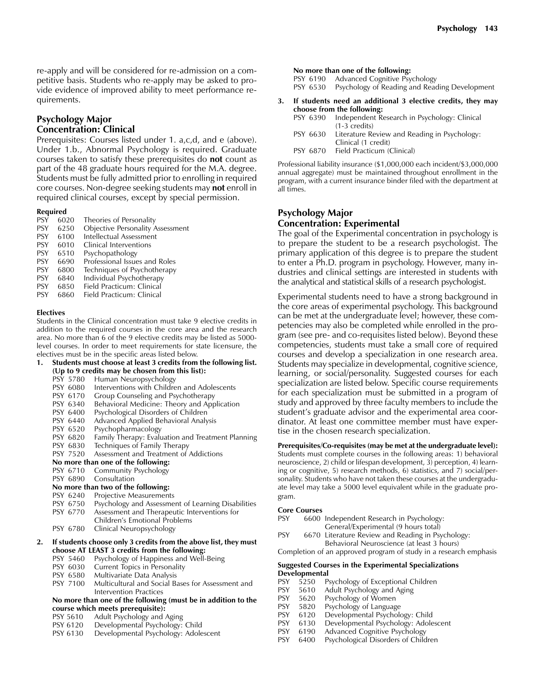re-apply and will be considered for re-admission on a competitive basis. Students who re-apply may be asked to provide evidence of improved ability to meet performance requirements.

### **Psychology Major Concentration: Clinical**

Prerequisites: Courses listed under 1. a,c,d, and e (above). Under 1.b., Abnormal Psychology is required. Graduate courses taken to satisfy these prerequisites do **not** count as part of the 48 graduate hours required for the M.A. degree. Students must be fully admitted prior to enrolling in required core courses. Non-degree seeking students may **not** enroll in required clinical courses, except by special permission.

**Required**<br>PSY 6020 PSY 6020 Theories of Personality<br>PSY 6250 Obiective Personality A Objective Personality Assessment PSY 6100 Intellectual Assessment<br>PSY 6010 Clinical Interventions PSY 6010 Clinical Interventions<br>PSY 6510 Psychopathology Psychopathology PSY 6690 Professional Issues and Roles PSY 6800 Techniques of Psychotherapy<br>PSY 6840 Individual Psychotherapy 6840 Individual Psychotherapy PSY 6850 Field Practicum: Clinical PSY 6860 Field Practicum: Clinical

### **Electives**

Students in the Clinical concentration must take 9 elective credits in addition to the required courses in the core area and the research area. No more than 6 of the 9 elective credits may be listed as 5000 level courses. In order to meet requirements for state licensure, the electives must be in the specific areas listed below.

| 1.<br>Students must choose at least 3 credits from the following list. |          |                                                                  |
|------------------------------------------------------------------------|----------|------------------------------------------------------------------|
|                                                                        |          | (Up to 9 credits may be chosen from this list):                  |
|                                                                        |          | PSY 5780 Human Neuropsychology                                   |
|                                                                        | PSY 6080 | Interventions with Children and Adolescents                      |
|                                                                        | PSY 6170 | Group Counseling and Psychotherapy                               |
|                                                                        | PSY 6340 | Behavioral Medicine: Theory and Application                      |
|                                                                        | PSY 6400 | Psychological Disorders of Children                              |
|                                                                        | PSY 6440 | Advanced Applied Behavioral Analysis                             |
|                                                                        | PSY 6520 | Psychopharmacology                                               |
|                                                                        | PSY 6820 | Family Therapy: Evaluation and Treatment Planning                |
|                                                                        | PSY 6830 | Techniques of Family Therapy                                     |
|                                                                        | PSY 7520 | Assessment and Treatment of Addictions                           |
| No more than one of the following:                                     |          |                                                                  |
|                                                                        | PSY 6710 | <b>Community Psychology</b>                                      |
|                                                                        | PSY 6890 | Consultation                                                     |
|                                                                        |          | No more than two of the following:                               |
|                                                                        | PSY 6240 | Projective Measurements                                          |
|                                                                        | PSY 6750 | Psychology and Assessment of Learning Disabilities               |
|                                                                        | PSY 6770 | Assessment and Therapeutic Interventions for                     |
|                                                                        |          | Children's Emotional Problems                                    |
|                                                                        | PSY 6780 | Clinical Neuropsychology                                         |
| 2.                                                                     |          | If students choose only 3 credits from the above list, they must |
|                                                                        |          | choose AT LEAST 3 credits from the following:                    |
|                                                                        |          | PSY 5460 Psychology of Happiness and Well-Being                  |
|                                                                        | PSY 6030 | Current Topics in Personality                                    |
|                                                                        | PSY 6580 | Multivariate Data Analysis                                       |
|                                                                        | PSY 7100 | Multicultural and Social Bases for Assessment and                |
|                                                                        |          | Intervention Practices                                           |

### **No more than one of the following (must be in addition to the course which meets prerequisite):**

- PSY 5610 Adult Psychology and Aging
- PSY 6120 Developmental Psychology: Child<br>PSY 6130 Developmental Psychology: Adole
- Developmental Psychology: Adolescent

# **No more than one of the following:**<br>PSY 6190 Advanced Cognitive Psy

Advanced Cognitive Psychology

- PSY 6530 Psychology of Reading and Reading Development
- **3. If students need an additional 3 elective credits, they may choose from the following:**
	- PSY 6390 Independent Research in Psychology: Clinical (1-3 credits)
	- PSY 6630 Literature Review and Reading in Psychology: Clinical (1 credit)
	- PSY 6870 Field Practicum (Clinical)

Professional liability insurance (\$1,000,000 each incident/\$3,000,000 annual aggregate) must be maintained throughout enrollment in the program, with a current insurance binder filed with the department at all times.

### **Psychology Major Concentration: Experimental**

The goal of the Experimental concentration in psychology is to prepare the student to be a research psychologist. The primary application of this degree is to prepare the student to enter a Ph.D. program in psychology. However, many industries and clinical settings are interested in students with the analytical and statistical skills of a research psychologist.

Experimental students need to have a strong background in the core areas of experimental psychology. This background can be met at the undergraduate level; however, these competencies may also be completed while enrolled in the program (see pre- and co-requisites listed below). Beyond these competencies, students must take a small core of required courses and develop a specialization in one research area. Students may specialize in developmental, cognitive science, learning, or social/personality. Suggested courses for each specialization are listed below. Specific course requirements for each specialization must be submitted in a program of study and approved by three faculty members to include the student's graduate advisor and the experimental area coordinator. At least one committee member must have expertise in the chosen research specialization.

**Prerequisites/Co-requisites (may be met at the undergraduate level):** Students must complete courses in the following areas: 1) behavioral neuroscience, 2) child or lifespan development, 3) perception, 4) learning or cognitive, 5) research methods, 6) statistics, and 7) social/personality. Students who have not taken these courses at the undergraduate level may take a 5000 level equivalent while in the graduate program.

### **Core Courses**

| PSY  | 6600 Independent Research in Psychology:                  |  |  |
|------|-----------------------------------------------------------|--|--|
|      | General/Experimental (9 hours total)                      |  |  |
| DCV/ | $CCTO$ . I because the continuum of $D = -1$ and $D = -1$ |  |  |

PSY 6670 Literature Review and Reading in Psychology: Behavioral Neuroscience (at least 3 hours)

Completion of an approved program of study in a research emphasis

### **Suggested Courses in the Experimental Specializations Developmental**

- PSY 5250 Psychology of Exceptional Children<br>PSY 5610 Adult Psychology and Aging
- 5610 Adult Psychology and Aging<br>5620 Psychology of Women
- PSY 5620 Psychology of Women
- PSY 5820 Psychology of Language<br>PSY 6120 Developmental Psycholo
- 6120 Developmental Psychology: Child
- PSY 6130 Developmental Psychology: Adolescent
- PSY 6190 Advanced Cognitive Psychology<br>PSY 6400 Psychological Disorders of Child
- PSY 6400 Psychological Disorders of Children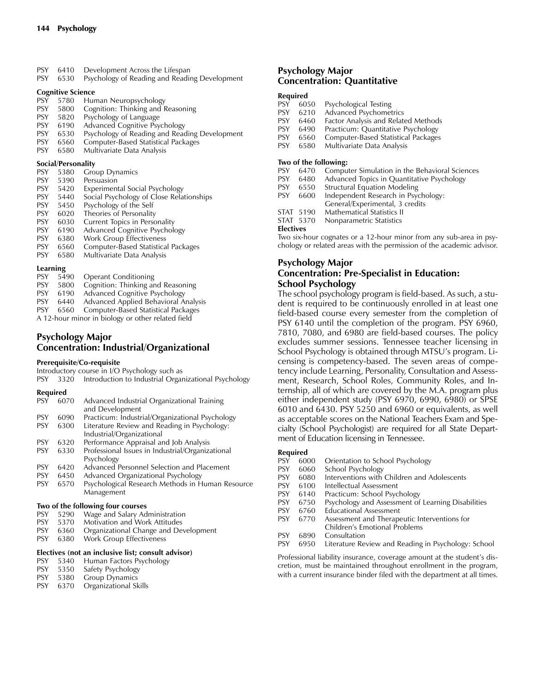- PSY 6410 Development Across the Lifespan
- PSY 6530 Psychology of Reading and Reading Development

### **Cognitive Science**

| <b>PSY</b> | 5780 | Human Neuropsychology                         |
|------------|------|-----------------------------------------------|
| <b>PSY</b> | 5800 | Cognition: Thinking and Reasoning             |
| <b>PSY</b> | 5820 | Psychology of Language                        |
| <b>PSY</b> | 6190 | Advanced Cognitive Psychology                 |
| <b>PSY</b> | 6530 | Psychology of Reading and Reading Development |
| <b>PSY</b> | 6560 | Computer-Based Statistical Packages           |
| <b>PSY</b> | 6580 | Multivariate Data Analysis                    |

### **Social/Personality**

| <b>PSY</b> | 5380     | Group Dynamics                           |  |
|------------|----------|------------------------------------------|--|
| <b>PSY</b> | 5390     | Persuasion                               |  |
| <b>PSY</b> | 5420     | Experimental Social Psychology           |  |
| <b>PSY</b> | 5440     | Social Psychology of Close Relationships |  |
| <b>PSY</b> | 5450     | Psychology of the Self                   |  |
| <b>PSY</b> | 6020     | Theories of Personality                  |  |
| <b>PSY</b> | 6030     | Current Topics in Personality            |  |
| <b>PSY</b> | 6190     | Advanced Cognitive Psychology            |  |
| <b>PSY</b> | 6380     | <b>Work Group Effectiveness</b>          |  |
| <b>PSY</b> | 6560     | Computer-Based Statistical Packages      |  |
| <b>PSY</b> | 6580     | Multivariate Data Analysis               |  |
|            | Learning |                                          |  |

### **Learning**

| <b>PSY</b>                                        | 5490 | <b>Operant Conditioning</b>          |  |
|---------------------------------------------------|------|--------------------------------------|--|
| <b>PSY</b>                                        | 5800 | Cognition: Thinking and Reasoning    |  |
| <b>PSY</b>                                        | 6190 | Advanced Cognitive Psychology        |  |
| <b>PSY</b>                                        | 6440 | Advanced Applied Behavioral Analysis |  |
| <b>PSY</b>                                        | 6560 | Computer-Based Statistical Packages  |  |
| A 12-hour minor in biology or other related field |      |                                      |  |

### **Psychology Major Concentration: Industrial/Organizational**

### **Prerequisite/Co-requisite**

|  | PSY 3320 Introduction to Industrial Organizational Psychology |  |  |
|--|---------------------------------------------------------------|--|--|
|  |                                                               |  |  |

### **Required**

| PSY        | 6070 | Advanced Industrial Organizational Training<br>and Development            |
|------------|------|---------------------------------------------------------------------------|
| <b>PSY</b> | 6090 | Practicum: Industrial/Organizational Psychology                           |
| <b>PSY</b> | 6300 | Literature Review and Reading in Psychology:<br>Industrial/Organizational |
| <b>PSY</b> | 6320 | Performance Appraisal and Job Analysis                                    |
| <b>PSY</b> | 6330 | Professional Issues in Industrial/Organizational<br>Psychology            |
| <b>PSY</b> | 6420 | Advanced Personnel Selection and Placement                                |
| <b>PSY</b> | 6450 | Advanced Organizational Psychology                                        |
| <b>PSY</b> | 6570 | Psychological Research Methods in Human Resource<br>Management            |
|            |      | Two of the following four courses                                         |
| PSY.       | 5290 | Wage and Salary Administration                                            |

- PSY 5370 Motivation and Work Attitudes
- PSY 6360 Organizational Change and Development
- PSY 6380 Work Group Effectiveness

### **Electives (not an inclusive list; consult advisor)**

- PSY 5340 Human Factors Psychology
- PSY 5350 Safety Psychology
- PSY 5380 Group Dynamics
- PSY 6370 Organizational Skills

### **Psychology Major Concentration: Quantitative**

### **Required**

| <b>PSY</b> | 6050 | <b>Psychological Testing</b>               |
|------------|------|--------------------------------------------|
| <b>PSY</b> | 6210 | <b>Advanced Psychometrics</b>              |
| <b>PSY</b> | 6460 | <b>Factor Analysis and Related Methods</b> |
| <b>PSY</b> | 6490 | Practicum: Quantitative Psychology         |
|            |      |                                            |

- PSY 6560 Computer-Based Statistical Packages<br>PSY 6580 Multivariate Data Analysis
- Multivariate Data Analysis

### **Two of the following:**

- PSY 6470 Computer Simulation in the Behavioral Sciences
- PSY 6480 Advanced Topics in Quantitative Psychology
- PSY 6550 Structural Equation Modeling<br>PSY 6600 Independent Research in Psy
	- Independent Research in Psychology:
	- General/Experimental, 3 credits
- STAT 5190 Mathematical Statistics II<br>STAT 5370 Nonparametric Statistics
- Nonparametric Statistics

### **Electives**

Two six-hour cognates or a 12-hour minor from any sub-area in psychology or related areas with the permission of the academic advisor.

### **Psychology Major Concentration: Pre-Specialist in Education: School Psychology**

The school psychology program is field-based. As such, a student is required to be continuously enrolled in at least one field-based course every semester from the completion of PSY 6140 until the completion of the program. PSY 6960, 7810, 7080, and 6980 are field-based courses. The policy excludes summer sessions. Tennessee teacher licensing in School Psychology is obtained through MTSU's program. Licensing is competency-based. The seven areas of competency include Learning, Personality, Consultation and Assessment, Research, School Roles, Community Roles, and Internship, all of which are covered by the M.A. program plus either independent study (PSY 6970, 6990, 6980) or SPSE 6010 and 6430. PSY 5250 and 6960 or equivalents, as well as acceptable scores on the National Teachers Exam and Specialty (School Psychologist) are required for all State Department of Education licensing in Tennessee.

### **Required**

- PSY 6000 Orientation to School Psychology
- PSY 6060 School Psychology
- PSY 6080 Interventions with Children and Adolescents
- PSY 6100 Intellectual Assessment<br>PSY 6140 Practicum: School Psyc
- Practicum: School Psychology
- PSY 6750 Psychology and Assessment of Learning Disabilities
- PSY 6760 Educational Assessment
- PSY 6770 Assessment and Therapeutic Interventions for Children's Emotional Problems
- PSY 6890 Consultation
- PSY 6950 Literature Review and Reading in Psychology: School

Professional liability insurance, coverage amount at the student's discretion, must be maintained throughout enrollment in the program, with a current insurance binder filed with the department at all times.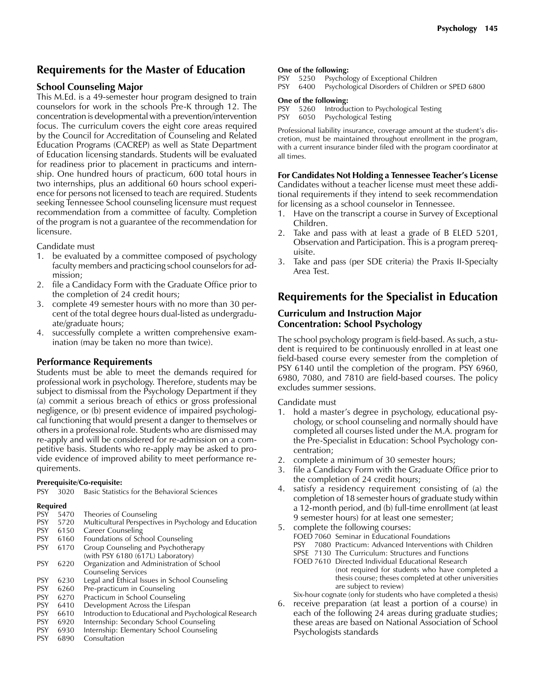### **Requirements for the Master of Education**

### **School Counseling Major**

This M.Ed. is a 49-semester hour program designed to train counselors for work in the schools Pre-K through 12. The concentration is developmental with a prevention/intervention focus. The curriculum covers the eight core areas required by the Council for Accreditation of Counseling and Related Education Programs (CACREP) as well as State Department of Education licensing standards. Students will be evaluated for readiness prior to placement in practicums and internship. One hundred hours of practicum, 600 total hours in two internships, plus an additional 60 hours school experience for persons not licensed to teach are required. Students seeking Tennessee School counseling licensure must request recommendation from a committee of faculty. Completion of the program is not a guarantee of the recommendation for licensure.

Candidate must

- 1. be evaluated by a committee composed of psychology faculty members and practicing school counselors for admission;
- 2. file a Candidacy Form with the Graduate Office prior to the completion of 24 credit hours;
- 3. complete 49 semester hours with no more than 30 percent of the total degree hours dual-listed as undergraduate/graduate hours;
- 4. successfully complete a written comprehensive examination (may be taken no more than twice).

### **Performance Requirements**

Students must be able to meet the demands required for professional work in psychology. Therefore, students may be subject to dismissal from the Psychology Department if they (a) commit a serious breach of ethics or gross professional negligence, or (b) present evidence of impaired psychological functioning that would present a danger to themselves or others in a professional role. Students who are dismissed may re-apply and will be considered for re-admission on a competitive basis. Students who re-apply may be asked to provide evidence of improved ability to meet performance requirements.

### **Prerequisite/Co-requisite:**

PSY 3020 Basic Statistics for the Behavioral Sciences

### **Required**

| Multicultural Perspectives in Psychology and Education |
|--------------------------------------------------------|
|                                                        |
|                                                        |
|                                                        |
|                                                        |
|                                                        |
|                                                        |
|                                                        |
|                                                        |
|                                                        |
|                                                        |
| Introduction to Educational and Psychological Research |
|                                                        |
|                                                        |
|                                                        |

PSY 6890 Consultation

### **One of the following:**

PSY 5250 Psychology of Exceptional Children

PSY 6400 Psychological Disorders of Children or SPED 6800

### **One of the following:**

PSY 5260 Introduction to Psychological Testing

PSY 6050 Psychological Testing

Professional liability insurance, coverage amount at the student's discretion, must be maintained throughout enrollment in the program, with a current insurance binder filed with the program coordinator at all times.

### **For Candidates Not Holding a Tennessee Teacher's License**

Candidates without a teacher license must meet these additional requirements if they intend to seek recommendation for licensing as a school counselor in Tennessee.

- 1. Have on the transcript a course in Survey of Exceptional Children.
- 2. Take and pass with at least a grade of B ELED 5201, Observation and Participation. This is a program prerequisite.
- 3. Take and pass (per SDE criteria) the Praxis II-Specialty Area Test.

### **Requirements for the Specialist in Education**

### **Curriculum and Instruction Major Concentration: School Psychology**

The school psychology program is field-based. As such, a student is required to be continuously enrolled in at least one field-based course every semester from the completion of PSY 6140 until the completion of the program. PSY 6960, 6980, 7080, and 7810 are field-based courses. The policy excludes summer sessions.

Candidate must

- 1. hold a master's degree in psychology, educational psychology, or school counseling and normally should have completed all courses listed under the M.A. program for the Pre-Specialist in Education: School Psychology concentration;
- 2. complete a minimum of 30 semester hours;
- 3. file a Candidacy Form with the Graduate Office prior to the completion of 24 credit hours;
- 4. satisfy a residency requirement consisting of (a) the completion of 18 semester hours of graduate study within a 12-month period, and (b) full-time enrollment (at least 9 semester hours) for at least one semester;
- 5. complete the following courses: FOED 7060 Seminar in Educational Foundations PSY 7080 Practicum: Advanced Interventions with Children
	- SPSE 7130 The Curriculum: Structures and Functions
	- FOED 7610 Directed Individual Educational Research

(not required for students who have completed a thesis course; theses completed at other universities are subject to review)

Six-hour cognate (only for students who have completed a thesis)

6. receive preparation (at least a portion of a course) in each of the following 24 areas during graduate studies; these areas are based on National Association of School Psychologists standards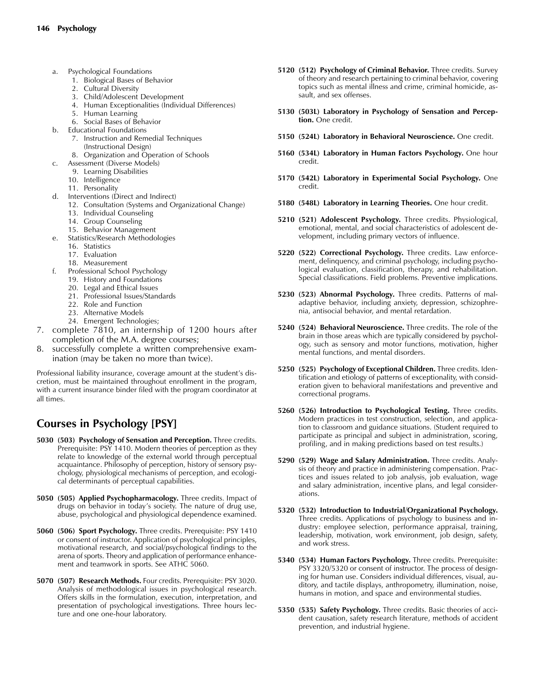- a. Psychological Foundations
	- 1. Biological Bases of Behavior
	- 2. Cultural Diversity
	- 3. Child/Adolescent Development
	- 4. Human Exceptionalities (Individual Differences)
	- 5. Human Learning
	- 6. Social Bases of Behavior
- b. Educational Foundations
	- 7. Instruction and Remedial Techniques
	- (Instructional Design)
	- 8. Organization and Operation of Schools
- c. Assessment (Diverse Models)
	- 9. Learning Disabilities
	- 10. Intelligence
	- 11. Personality
- d. Interventions (Direct and Indirect)
	- 12. Consultation (Systems and Organizational Change)
	- 13. Individual Counseling
	- 14. Group Counseling
	- 15. Behavior Management
- e. Statistics/Research Methodologies
	- 16. Statistics
	- 17. Evaluation
	- 18. Measurement
- f. Professional School Psychology
	- 19. History and Foundations
	- 20. Legal and Ethical Issues
	- 21. Professional Issues/Standards
	- 22. Role and Function
	- 23. Alternative Models
	- 24. Emergent Technologies;
- 7. complete 7810, an internship of 1200 hours after completion of the M.A. degree courses;
- 8. successfully complete a written comprehensive examination (may be taken no more than twice).

Professional liability insurance, coverage amount at the student's discretion, must be maintained throughout enrollment in the program, with a current insurance binder filed with the program coordinator at all times.

# **Courses in Psychology [PSY]**

- **5030 (503) Psychology of Sensation and Perception.** Three credits. Prerequisite: PSY 1410. Modern theories of perception as they relate to knowledge of the external world through perceptual acquaintance. Philosophy of perception, history of sensory psychology, physiological mechanisms of perception, and ecological determinants of perceptual capabilities.
- **5050 (505) Applied Psychopharmacology.** Three credits. Impact of drugs on behavior in today's society. The nature of drug use, abuse, psychological and physiological dependence examined.
- **5060 (506) Sport Psychology.** Three credits. Prerequisite: PSY 1410 or consent of instructor. Application of psychological principles, motivational research, and social/psychological findings to the arena of sports. Theory and application of performance enhancement and teamwork in sports. See ATHC 5060.
- **5070 (507) Research Methods.** Four credits. Prerequisite: PSY 3020. Analysis of methodological issues in psychological research. Offers skills in the formulation, execution, interpretation, and presentation of psychological investigations. Three hours lecture and one one-hour laboratory.
- **5120 (512) Psychology of Criminal Behavior.** Three credits. Survey of theory and research pertaining to criminal behavior, covering topics such as mental illness and crime, criminal homicide, assault, and sex offenses.
- **5130 (503L) Laboratory in Psychology of Sensation and Perception.** One credit.
- **5150 (524L) Laboratory in Behavioral Neuroscience.** One credit.
- **5160 (534L) Laboratory in Human Factors Psychology.** One hour credit.
- **5170 (542L) Laboratory in Experimental Social Psychology.** One credit.
- **5180 (548L) Laboratory in Learning Theories.** One hour credit.
- **5210 (521) Adolescent Psychology.** Three credits. Physiological, emotional, mental, and social characteristics of adolescent development, including primary vectors of influence.
- **5220 (522) Correctional Psychology.** Three credits. Law enforcement, delinquency, and criminal psychology, including psychological evaluation, classification, therapy, and rehabilitation. Special classifications. Field problems. Preventive implications.
- **5230 (523) Abnormal Psychology.** Three credits. Patterns of maladaptive behavior, including anxiety, depression, schizophrenia, antisocial behavior, and mental retardation.
- **5240 (524) Behavioral Neuroscience.** Three credits. The role of the brain in those areas which are typically considered by psychology, such as sensory and motor functions, motivation, higher mental functions, and mental disorders.
- **5250 (525) Psychology of Exceptional Children.** Three credits. Identification and etiology of patterns of exceptionality, with consideration given to behavioral manifestations and preventive and correctional programs.
- **5260 (526) Introduction to Psychological Testing.** Three credits. Modern practices in test construction, selection, and application to classroom and guidance situations. (Student required to participate as principal and subject in administration, scoring, profiling, and in making predictions based on test results.)
- **5290 (529) Wage and Salary Administration.** Three credits. Analysis of theory and practice in administering compensation. Practices and issues related to job analysis, job evaluation, wage and salary administration, incentive plans, and legal considerations.
- **5320 (532) Introduction to Industrial/Organizational Psychology.** Three credits. Applications of psychology to business and industry: employee selection, performance appraisal, training, leadership, motivation, work environment, job design, safety, and work stress.
- **5340 (534) Human Factors Psychology.** Three credits. Prerequisite: PSY 3320/5320 or consent of instructor. The process of designing for human use. Considers individual differences, visual, auditory, and tactile displays, anthropometry, illumination, noise, humans in motion, and space and environmental studies.
- **5350 (535) Safety Psychology.** Three credits. Basic theories of accident causation, safety research literature, methods of accident prevention, and industrial hygiene.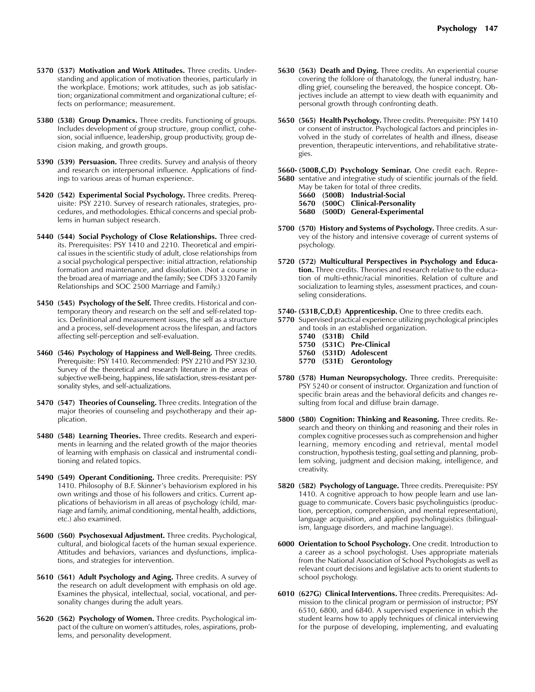- **5370 (537) Motivation and Work Attitudes.** Three credits. Understanding and application of motivation theories, particularly in the workplace. Emotions; work attitudes, such as job satisfaction; organizational commitment and organizational culture; effects on performance; measurement.
- **5380 (538) Group Dynamics.** Three credits. Functioning of groups. Includes development of group structure, group conflict, cohesion, social influence, leadership, group productivity, group decision making, and growth groups.
- **5390 (539) Persuasion.** Three credits. Survey and analysis of theory and research on interpersonal influence. Applications of findings to various areas of human experience.
- **5420 (542) Experimental Social Psychology.** Three credits. Prerequisite: PSY 2210. Survey of research rationales, strategies, procedures, and methodologies. Ethical concerns and special problems in human subject research.
- **5440 (544) Social Psychology of Close Relationships.** Three credits. Prerequisites: PSY 1410 and 2210. Theoretical and empirical issues in the scientific study of adult, close relationships from a social psychological perspective: initial attraction, relationship formation and maintenance, and dissolution. (Not a course in the broad area of marriage and the family; See CDFS 3320 Family Relationships and SOC 2500 Marriage and Family.)
- **5450 (545) Psychology of the Self.** Three credits. Historical and contemporary theory and research on the self and self-related topics. Definitional and measurement issues, the self as a structure and a process, self-development across the lifespan, and factors affecting self-perception and self-evaluation.
- **5460 (546) Psychology of Happiness and Well-Being.** Three credits. Prerequisite: PSY 1410. Recommended: PSY 2210 and PSY 3230. Survey of the theoretical and research literature in the areas of subjective well-being, happiness, life satisfaction, stress-resistant personality styles, and self-actualizations.
- **5470 (547) Theories of Counseling.** Three credits. Integration of the major theories of counseling and psychotherapy and their application.
- **5480 (548) Learning Theories.** Three credits. Research and experiments in learning and the related growth of the major theories of learning with emphasis on classical and instrumental conditioning and related topics.
- **5490 (549) Operant Conditioning.** Three credits. Prerequisite: PSY 1410. Philosophy of B.F. Skinner's behaviorism explored in his own writings and those of his followers and critics. Current applications of behaviorism in all areas of psychology (child, marriage and family, animal conditioning, mental health, addictions, etc.) also examined.
- **5600 (560) Psychosexual Adjustment.** Three credits. Psychological, cultural, and biological facets of the human sexual experience. Attitudes and behaviors, variances and dysfunctions, implications, and strategies for intervention.
- **5610 (561) Adult Psychology and Aging.** Three credits. A survey of the research on adult development with emphasis on old age. Examines the physical, intellectual, social, vocational, and personality changes during the adult years.
- **5620 (562) Psychology of Women.** Three credits. Psychological impact of the culture on women's attitudes, roles, aspirations, problems, and personality development.
- **5630 (563) Death and Dying.** Three credits. An experiential course covering the folklore of thanatology, the funeral industry, handling grief, counseling the bereaved, the hospice concept. Objectives include an attempt to view death with equanimity and personal growth through confronting death.
- **5650 (565) Health Psychology.** Three credits. Prerequisite: PSY 1410 or consent of instructor. Psychological factors and principles involved in the study of correlates of health and illness, disease prevention, therapeutic interventions, and rehabilitative strategies.
- **5660- (500B,C,D) Psychology Seminar.** One credit each. Repre-**5680** sentative and integrative study of scientific journals of the field.
	- May be taken for total of three credits.
	- **5660 (500B) Industrial-Social**
	- **5670 (500C) Clinical-Personality 5680 (500D) General-Experimental**
- **5700 (570) History and Systems of Psychology.** Three credits. A survey of the history and intensive coverage of current systems of psychology.
- **5720 (572) Multicultural Perspectives in Psychology and Education.** Three credits. Theories and research relative to the education of multi-ethnic/racial minorities. Relation of culture and socialization to learning styles, assessment practices, and counseling considerations.
- **5740- (531B,C,D,E) Apprenticeship.** One to three credits each.
- **5770** Supervised practical experience utilizing psychological principles and tools in an established organization.
	- **5740 (531B) Child 5750 (531C) Pre-Clinical 5760 (531D) Adolescent 5770 (531E) Gerontology**
- **5780 (578) Human Neuropsychology.** Three credits. Prerequisite: PSY 5240 or consent of instructor. Organization and function of specific brain areas and the behavioral deficits and changes resulting from focal and diffuse brain damage.
- **5800 (580) Cognition: Thinking and Reasoning.** Three credits. Research and theory on thinking and reasoning and their roles in complex cognitive processes such as comprehension and higher learning, memory encoding and retrieval, mental model construction, hypothesis testing, goal setting and planning, problem solving, judgment and decision making, intelligence, and creativity.
- **5820 (582) Psychology of Language.** Three credits. Prerequisite: PSY 1410. A cognitive approach to how people learn and use language to communicate. Covers basic psycholinguistics (production, perception, comprehension, and mental representation), language acquisition, and applied psycholinguistics (bilingualism, language disorders, and machine language).
- **6000 Orientation to School Psychology.** One credit. Introduction to a career as a school psychologist. Uses appropriate materials from the National Association of School Psychologists as well as relevant court decisions and legislative acts to orient students to school psychology.
- **6010 (627G) Clinical Interventions.** Three credits. Prerequisites: Admission to the clinical program or permission of instructor; PSY 6510, 6800, and 6840. A supervised experience in which the student learns how to apply techniques of clinical interviewing for the purpose of developing, implementing, and evaluating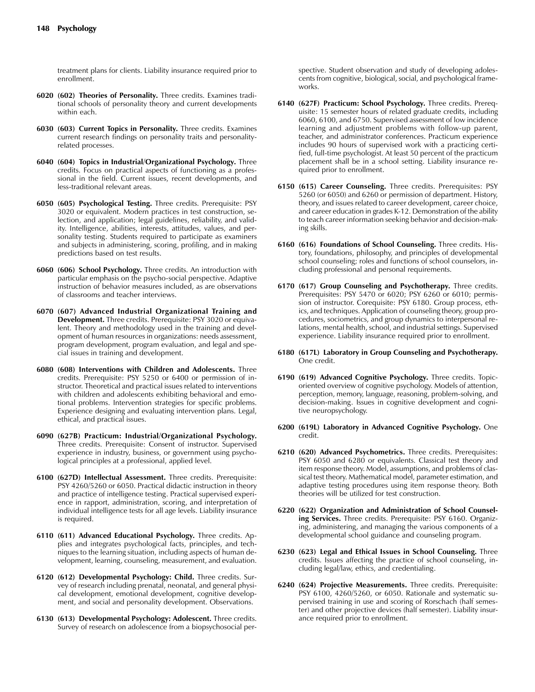treatment plans for clients. Liability insurance required prior to enrollment.

- **6020 (602) Theories of Personality.** Three credits. Examines traditional schools of personality theory and current developments within each.
- **6030 (603) Current Topics in Personality.** Three credits. Examines current research findings on personality traits and personalityrelated processes.
- **6040 (604) Topics in Industrial/Organizational Psychology.** Three credits. Focus on practical aspects of functioning as a professional in the field. Current issues, recent developments, and less-traditional relevant areas.
- **6050 (605) Psychological Testing.** Three credits. Prerequisite: PSY 3020 or equivalent. Modern practices in test construction, selection, and application; legal guidelines, reliability, and validity. Intelligence, abilities, interests, attitudes, values, and personality testing. Students required to participate as examiners and subjects in administering, scoring, profiling, and in making predictions based on test results.
- **6060 (606) School Psychology.** Three credits. An introduction with particular emphasis on the psycho-social perspective. Adaptive instruction of behavior measures included, as are observations of classrooms and teacher interviews.
- **6070 (607) Advanced Industrial Organizational Training and Development.** Three credits. Prerequisite: PSY 3020 or equivalent. Theory and methodology used in the training and development of human resources in organizations: needs assessment, program development, program evaluation, and legal and special issues in training and development.
- **6080 (608) Interventions with Children and Adolescents.** Three credits. Prerequisite: PSY 5250 or 6400 or permission of instructor. Theoretical and practical issues related to interventions with children and adolescents exhibiting behavioral and emotional problems. Intervention strategies for specific problems. Experience designing and evaluating intervention plans. Legal, ethical, and practical issues.
- **6090 (627B) Practicum: Industrial/Organizational Psychology.** Three credits. Prerequisite: Consent of instructor. Supervised experience in industry, business, or government using psychological principles at a professional, applied level.
- **6100 (627D) Intellectual Assessment.** Three credits. Prerequisite: PSY 4260/5260 or 6050. Practical didactic instruction in theory and practice of intelligence testing. Practical supervised experience in rapport, administration, scoring, and interpretation of individual intelligence tests for all age levels. Liability insurance is required.
- **6110 (611) Advanced Educational Psychology.** Three credits. Applies and integrates psychological facts, principles, and techniques to the learning situation, including aspects of human development, learning, counseling, measurement, and evaluation.
- **6120 (612) Developmental Psychology: Child.** Three credits. Survey of research including prenatal, neonatal, and general physical development, emotional development, cognitive development, and social and personality development. Observations.
- **6130 (613) Developmental Psychology: Adolescent.** Three credits. Survey of research on adolescence from a biopsychosocial per-

spective. Student observation and study of developing adolescents from cognitive, biological, social, and psychological frameworks.

- **6140 (627F) Practicum: School Psychology.** Three credits. Prerequisite: 15 semester hours of related graduate credits, including 6060, 6100, and 6750. Supervised assessment of low incidence learning and adjustment problems with follow-up parent, teacher, and administrator conferences. Practicum experience includes 90 hours of supervised work with a practicing certified, full-time psychologist. At least 50 percent of the practicum placement shall be in a school setting. Liability insurance required prior to enrollment.
- **6150 (615) Career Counseling.** Three credits. Prerequisites: PSY 5260 (or 6050) and 6260 or permission of department. History, theory, and issues related to career development, career choice, and career education in grades K-12. Demonstration of the ability to teach career information seeking behavior and decision-making skills.
- **6160 (616) Foundations of School Counseling.** Three credits. History, foundations, philosophy, and principles of developmental school counseling; roles and functions of school counselors, including professional and personal requirements.
- **6170 (617) Group Counseling and Psychotherapy.** Three credits. Prerequisites: PSY 5470 or 6020; PSY 6260 or 6010; permission of instructor. Corequisite: PSY 6180. Group process, ethics, and techniques. Application of counseling theory, group procedures, sociometrics, and group dynamics to interpersonal relations, mental health, school, and industrial settings. Supervised experience. Liability insurance required prior to enrollment.
- **6180 (617L) Laboratory in Group Counseling and Psychotherapy.** One credit.
- **6190 (619) Advanced Cognitive Psychology.** Three credits. Topicoriented overview of cognitive psychology. Models of attention, perception, memory, language, reasoning, problem-solving, and decision-making. Issues in cognitive development and cognitive neuropsychology.
- **6200 (619L) Laboratory in Advanced Cognitive Psychology.** One credit.
- **6210 (620) Advanced Psychometrics.** Three credits. Prerequisites: PSY 6050 and 6280 or equivalents. Classical test theory and item response theory. Model, assumptions, and problems of classical test theory. Mathematical model, parameter estimation, and adaptive testing procedures using item response theory. Both theories will be utilized for test construction.
- **6220 (622) Organization and Administration of School Counseling Services.** Three credits. Prerequisite: PSY 6160. Organizing, administering, and managing the various components of a developmental school guidance and counseling program.
- **6230 (623) Legal and Ethical Issues in School Counseling.** Three credits. Issues affecting the practice of school counseling, including legal/law, ethics, and credentialing.
- **6240 (624) Projective Measurements.** Three credits. Prerequisite: PSY 6100, 4260/5260, or 6050. Rationale and systematic supervised training in use and scoring of Rorschach (half semester) and other projective devices (half semester). Liability insurance required prior to enrollment.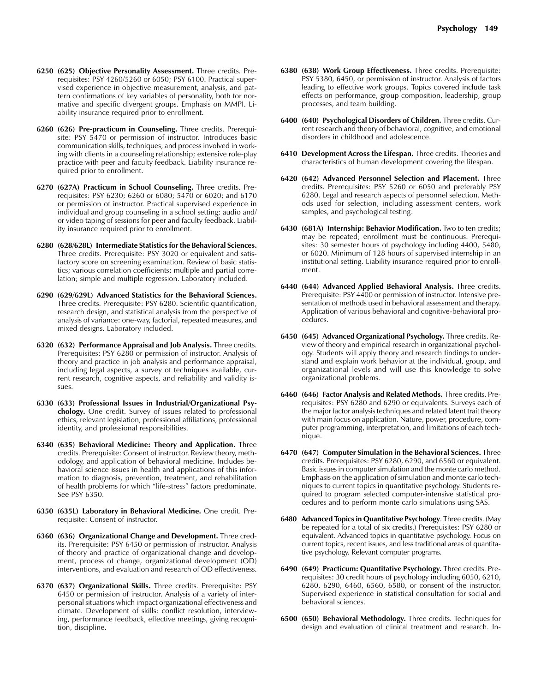- **6250 (625) Objective Personality Assessment.** Three credits. Prerequisites: PSY 4260/5260 or 6050; PSY 6100. Practical supervised experience in objective measurement, analysis, and pattern confirmations of key variables of personality, both for normative and specific divergent groups. Emphasis on MMPI. Liability insurance required prior to enrollment.
- **6260 (626) Pre-practicum in Counseling.** Three credits. Prerequisite: PSY 5470 or permission of instructor. Introduces basic communication skills, techniques, and process involved in working with clients in a counseling relationship; extensive role-play practice with peer and faculty feedback. Liability insurance required prior to enrollment.
- **6270 (627A) Practicum in School Counseling.** Three credits. Prerequisites: PSY 6230; 6260 or 6080; 5470 or 6020; and 6170 or permission of instructor. Practical supervised experience in individual and group counseling in a school setting; audio and/ or video taping of sessions for peer and faculty feedback. Liability insurance required prior to enrollment.
- **6280 (628/628L) Intermediate Statistics for the Behavioral Sciences.** Three credits. Prerequisite: PSY 3020 or equivalent and satisfactory score on screening examination. Review of basic statistics; various correlation coefficients; multiple and partial correlation; simple and multiple regression. Laboratory included.
- **6290 (629/629L) Advanced Statistics for the Behavioral Sciences.** Three credits. Prerequisite: PSY 6280. Scientific quantification, research design, and statistical analysis from the perspective of analysis of variance: one-way, factorial, repeated measures, and mixed designs. Laboratory included.
- **6320 (632) Performance Appraisal and Job Analysis.** Three credits. Prerequisites: PSY 6280 or permission of instructor. Analysis of theory and practice in job analysis and performance appraisal, including legal aspects, a survey of techniques available, current research, cognitive aspects, and reliability and validity issues.
- **6330 (633) Professional Issues in Industrial/Organizational Psychology.** One credit. Survey of issues related to professional ethics, relevant legislation, professional affiliations, professional identity, and professional responsibilities.
- **6340 (635) Behavioral Medicine: Theory and Application.** Three credits. Prerequisite: Consent of instructor. Review theory, methodology, and application of behavioral medicine. Includes behavioral science issues in health and applications of this information to diagnosis, prevention, treatment, and rehabilitation of health problems for which "life-stress" factors predominate. See PSY 6350.
- **6350 (635L) Laboratory in Behavioral Medicine.** One credit. Prerequisite: Consent of instructor.
- **6360 (636) Organizational Change and Development.** Three credits. Prerequisite: PSY 6450 or permission of instructor. Analysis of theory and practice of organizational change and development, process of change, organizational development (OD) interventions, and evaluation and research of OD effectiveness.
- **6370 (637) Organizational Skills.** Three credits. Prerequisite: PSY 6450 or permission of instructor. Analysis of a variety of interpersonal situations which impact organizational effectiveness and climate. Development of skills: conflict resolution, interviewing, performance feedback, effective meetings, giving recognition, discipline.
- **6380 (638) Work Group Effectiveness.** Three credits. Prerequisite: PSY 5380, 6450, or permission of instructor. Analysis of factors leading to effective work groups. Topics covered include task effects on performance, group composition, leadership, group processes, and team building.
- **6400 (640) Psychological Disorders of Children.** Three credits. Current research and theory of behavioral, cognitive, and emotional disorders in childhood and adolescence.
- **6410 Development Across the Lifespan.** Three credits. Theories and characteristics of human development covering the lifespan.
- **6420 (642) Advanced Personnel Selection and Placement.** Three credits. Prerequisites: PSY 5260 or 6050 and preferably PSY 6280. Legal and research aspects of personnel selection. Methods used for selection, including assessment centers, work samples, and psychological testing.
- **6430 (681A) Internship: Behavior Modification.** Two to ten credits; may be repeated; enrollment must be continuous. Prerequisites: 30 semester hours of psychology including 4400, 5480, or 6020. Minimum of 128 hours of supervised internship in an institutional setting. Liability insurance required prior to enrollment.
- **6440 (644) Advanced Applied Behavioral Analysis.** Three credits. Prerequisite: PSY 4400 or permission of instructor. Intensive presentation of methods used in behavioral assessment and therapy. Application of various behavioral and cognitive-behavioral procedures.
- **6450 (645) Advanced Organizational Psychology.** Three credits. Review of theory and empirical research in organizational psychology. Students will apply theory and research findings to understand and explain work behavior at the individual, group, and organizational levels and will use this knowledge to solve organizational problems.
- **6460 (646) Factor Analysis and Related Methods.** Three credits. Prerequisites: PSY 6280 and 6290 or equivalents. Surveys each of the major factor analysis techniques and related latent trait theory with main focus on application. Nature, power, procedure, computer programming, interpretation, and limitations of each technique.
- **6470 (647) Computer Simulation in the Behavioral Sciences.** Three credits. Prerequisites: PSY 6280, 6290, and 6560 or equivalent. Basic issues in computer simulation and the monte carlo method. Emphasis on the application of simulation and monte carlo techniques to current topics in quantitative psychology. Students required to program selected computer-intensive statistical procedures and to perform monte carlo simulations using SAS.
- **6480 Advanced Topics in Quantitative Psychology**. Three credits. (May be repeated for a total of six credits.) Prerequisites: PSY 6280 or equivalent. Advanced topics in quantitative psychology. Focus on current topics, recent issues, and less traditional areas of quantitative psychology. Relevant computer programs.
- **6490 (649) Practicum: Quantitative Psychology.** Three credits. Prerequisites: 30 credit hours of psychology including 6050, 6210, 6280, 6290, 6460, 6560, 6580, or consent of the instructor. Supervised experience in statistical consultation for social and behavioral sciences.
- **6500 (650) Behavioral Methodology.** Three credits. Techniques for design and evaluation of clinical treatment and research. In-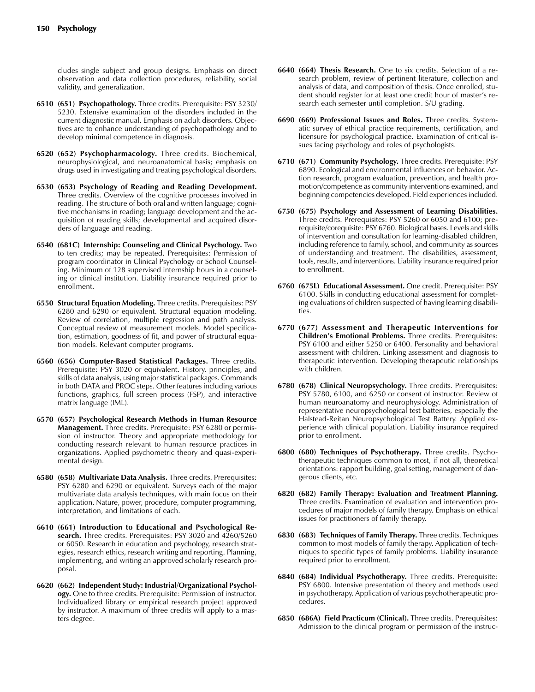cludes single subject and group designs. Emphasis on direct observation and data collection procedures, reliability, social validity, and generalization.

- **6510 (651) Psychopathology.** Three credits. Prerequisite: PSY 3230/ 5230. Extensive examination of the disorders included in the current diagnostic manual. Emphasis on adult disorders. Objectives are to enhance understanding of psychopathology and to develop minimal competence in diagnosis.
- **6520 (652) Psychopharmacology.** Three credits. Biochemical, neurophysiological, and neuroanatomical basis; emphasis on drugs used in investigating and treating psychological disorders.
- **6530 (653) Psychology of Reading and Reading Development.** Three credits. Overview of the cognitive processes involved in reading. The structure of both oral and written language; cognitive mechanisms in reading; language development and the acquisition of reading skills; developmental and acquired disorders of language and reading.
- **6540 (681C) Internship: Counseling and Clinical Psychology.** Two to ten credits; may be repeated. Prerequisites: Permission of program coordinator in Clinical Psychology or School Counseling. Minimum of 128 supervised internship hours in a counseling or clinical institution. Liability insurance required prior to enrollment.
- **6550 Structural Equation Modeling.** Three credits. Prerequisites: PSY 6280 and 6290 or equivalent. Structural equation modeling. Review of correlation, multiple regression and path analysis. Conceptual review of measurement models. Model specification, estimation, goodness of fit, and power of structural equation models. Relevant computer programs.
- **6560 (656) Computer-Based Statistical Packages.** Three credits. Prerequisite: PSY 3020 or equivalent. History, principles, and skills of data analysis, using major statistical packages. Commands in both DATA and PROC steps. Other features including various functions, graphics, full screen process (FSP), and interactive matrix language (IML).
- **6570 (657) Psychological Research Methods in Human Resource Management.** Three credits. Prerequisite: PSY 6280 or permission of instructor. Theory and appropriate methodology for conducting research relevant to human resource practices in organizations. Applied psychometric theory and quasi-experimental design.
- **6580 (658) Multivariate Data Analysis.** Three credits. Prerequisites: PSY 6280 and 6290 or equivalent. Surveys each of the major multivariate data analysis techniques, with main focus on their application. Nature, power, procedure, computer programming, interpretation, and limitations of each.
- **6610 (661) Introduction to Educational and Psychological Research.** Three credits. Prerequisites: PSY 3020 and 4260/5260 or 6050. Research in education and psychology, research strategies, research ethics, research writing and reporting. Planning, implementing, and writing an approved scholarly research proposal.
- **6620 (662) Independent Study: Industrial/Organizational Psychology.** One to three credits. Prerequisite: Permission of instructor. Individualized library or empirical research project approved by instructor. A maximum of three credits will apply to a masters degree.
- **6640 (664) Thesis Research.** One to six credits. Selection of a research problem, review of pertinent literature, collection and analysis of data, and composition of thesis. Once enrolled, student should register for at least one credit hour of master's research each semester until completion. S/U grading.
- **6690 (669) Professional Issues and Roles.** Three credits. Systematic survey of ethical practice requirements, certification, and licensure for psychological practice. Examination of critical issues facing psychology and roles of psychologists.
- **6710 (671) Community Psychology.** Three credits. Prerequisite: PSY 6890. Ecological and environmental influences on behavior. Action research, program evaluation, prevention, and health promotion/competence as community interventions examined, and beginning competencies developed. Field experiences included.
- **6750 (675) Psychology and Assessment of Learning Disabilities.** Three credits. Prerequisites: PSY 5260 or 6050 and 6100; prerequisite/corequisite: PSY 6760. Biological bases. Levels and skills of intervention and consultation for learning-disabled children, including reference to family, school, and community as sources of understanding and treatment. The disabilities, assessment, tools, results, and interventions. Liability insurance required prior to enrollment.
- **6760 (675L) Educational Assessment.** One credit. Prerequisite: PSY 6100. Skills in conducting educational assessment for completing evaluations of children suspected of having learning disabilities.
- **6770 (677) Assessment and Therapeutic Interventions for Children's Emotional Problems.** Three credits. Prerequisites: PSY 6100 and either 5250 or 6400. Personality and behavioral assessment with children. Linking assessment and diagnosis to therapeutic intervention. Developing therapeutic relationships with children.
- **6780 (678) Clinical Neuropsychology.** Three credits. Prerequisites: PSY 5780, 6100, and 6250 or consent of instructor. Review of human neuroanatomy and neurophysiology. Administration of representative neuropsychological test batteries, especially the Halstead-Reitan Neuropsychological Test Battery. Applied experience with clinical population. Liability insurance required prior to enrollment.
- **6800 (680) Techniques of Psychotherapy.** Three credits. Psychotherapeutic techniques common to most, if not all, theoretical orientations: rapport building, goal setting, management of dangerous clients, etc.
- **6820 (682) Family Therapy: Evaluation and Treatment Planning.** Three credits. Examination of evaluation and intervention procedures of major models of family therapy. Emphasis on ethical issues for practitioners of family therapy.
- **6830 (683) Techniques of Family Therapy.** Three credits. Techniques common to most models of family therapy. Application of techniques to specific types of family problems. Liability insurance required prior to enrollment.
- **6840 (684) Individual Psychotherapy.** Three credits. Prerequisite: PSY 6800. Intensive presentation of theory and methods used in psychotherapy. Application of various psychotherapeutic procedures.
- **6850 (686A) Field Practicum (Clinical).** Three credits. Prerequisites: Admission to the clinical program or permission of the instruc-